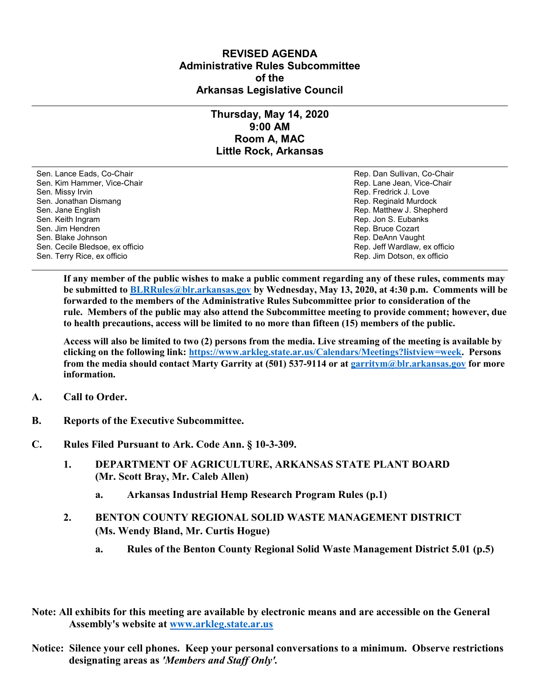## **REVISED AGENDA Administrative Rules Subcommittee of the Arkansas Legislative Council**

## **Thursday, May 14, 2020 9:00 AM Room A, MAC Little Rock, Arkansas**

Sen. Lance Eads, Co-Chair Rep. Dan Sullivan, Co-Chair Sen. Kim Hammer, Vice-Chair **Rep. Lane Jean, Vice-Chair** Rep. Lane Jean, Vice-Chair Sen. Missy Irvin New York 1, 2008 and the sense of the sense of the Sense of Technical Sense of Technical Australian Sense of Technical Australian Sense of Technical Australian Sense of Technical Australian Sense of Techni Sen. Jonathan Dismang Rep. Reginald Murdock Sen. Jane English Rep. Matthew J. Shepherd Rep. Matthew J. Shepherd Sen. Keith Ingram Rep. Jon S. Eubanks (Sen. Keith Ingram Rep. Jon S. Eubanks (Sen. Jon S. Eubanks (Sen. Jon S. Eubanks (Sen. Jon S. Eubanks (Sen. Jon S. Eubanks (Sen. Jon S. Eubanks (Sen. Jon S. Eubanks (Sen. Jon S. Eubank Sen. Blake Johnson (Sen. 1999)<br>Sen. Cecile Bledsoe, ex officio (Sen. 1999)<br>Sen. Cecile Bledsoe, ex officio (Sen. 1999) Sen. Cecile Bledsoe, ex officio Sen. Terry Rice, ex officio Rep. Jim Dotson, ex officio

Rep. Bruce Cozart

**If any member of the public wishes to make a public comment regarding any of these rules, comments may be submitted to [BLRRules@blr.arkansas.gov](mailto:BLRRules@blr.arkansas.gov) by Wednesday, May 13, 2020, at 4:30 p.m. Comments will be forwarded to the members of the Administrative Rules Subcommittee prior to consideration of the rule. Members of the public may also attend the Subcommittee meeting to provide comment; however, due to health precautions, access will be limited to no more than fifteen (15) members of the public.**

**Access will also be limited to two (2) persons from the media. Live streaming of the meeting is available by clicking on the following link: [https://www.arkleg.state.ar.us/Calendars/Meetings?listview=week.](https://www.arkleg.state.ar.us/Calendars/Meetings?listview=week) Persons from the media should contact Marty Garrity at (501) 537-9114 or a[t garritym@blr.arkansas.gov](mailto:garritym@blr.arkansas.gov) for more information.**

- **A. Call to Order.**
- **B. Reports of the Executive Subcommittee.**
- **C. Rules Filed Pursuant to Ark. Code Ann. § 10-3-309.**
	- **1. DEPARTMENT OF AGRICULTURE, ARKANSAS STATE PLANT BOARD (Mr. Scott Bray, Mr. Caleb Allen)**
		- **a. Arkansas Industrial Hemp Research Program Rules (p.1)**
	- **2. BENTON COUNTY REGIONAL SOLID WASTE MANAGEMENT DISTRICT (Ms. Wendy Bland, Mr. Curtis Hogue)**
		- **a. Rules of the Benton County Regional Solid Waste Management District 5.01 (p.5)**
- **Note: All exhibits for this meeting are available by electronic means and are accessible on the General Assembly's website at [www.arkleg.state.ar.us](http://www.arkleg.state.ar.us)**
- **Notice: Silence your cell phones. Keep your personal conversations to a minimum. Observe restrictions designating areas as** *'Members and Staff Only'.*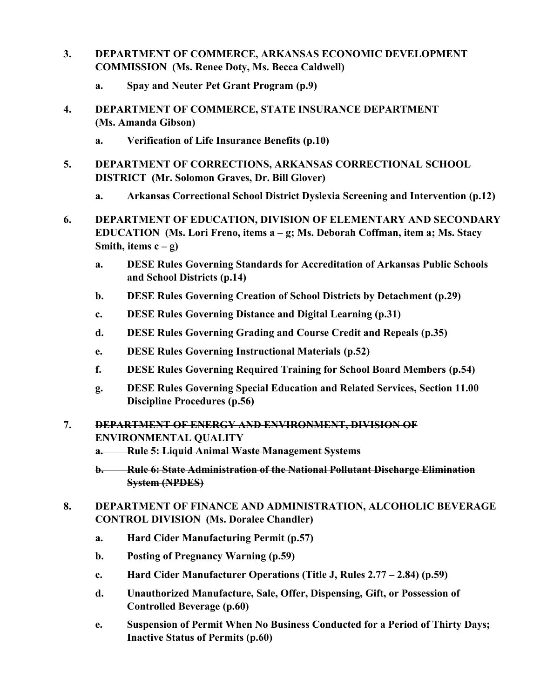- **3. DEPARTMENT OF COMMERCE, ARKANSAS ECONOMIC DEVELOPMENT COMMISSION (Ms. Renee Doty, Ms. Becca Caldwell)**
	- **a. Spay and Neuter Pet Grant Program (p.9)**
- **4. DEPARTMENT OF COMMERCE, STATE INSURANCE DEPARTMENT (Ms. Amanda Gibson)**
	- **a. Verification of Life Insurance Benefits (p.10)**
- **5. DEPARTMENT OF CORRECTIONS, ARKANSAS CORRECTIONAL SCHOOL DISTRICT (Mr. Solomon Graves, Dr. Bill Glover)**
	- **a. Arkansas Correctional School District Dyslexia Screening and Intervention (p.12)**
- **6. DEPARTMENT OF EDUCATION, DIVISION OF ELEMENTARY AND SECONDARY EDUCATION (Ms. Lori Freno, items a – g; Ms. Deborah Coffman, item a; Ms. Stacy Smith, items**  $c - g$ )
	- **a. DESE Rules Governing Standards for Accreditation of Arkansas Public Schools and School Districts (p.14)**
	- **b. DESE Rules Governing Creation of School Districts by Detachment (p.29)**
	- **c. DESE Rules Governing Distance and Digital Learning (p.31)**
	- **d. DESE Rules Governing Grading and Course Credit and Repeals (p.35)**
	- **e. DESE Rules Governing Instructional Materials (p.52)**
	- **f. DESE Rules Governing Required Training for School Board Members (p.54)**
	- **g. DESE Rules Governing Special Education and Related Services, Section 11.00 Discipline Procedures (p.56)**
- **7. DEPARTMENT OF ENERGY AND ENVIRONMENT, DIVISION OF ENVIRONMENTAL QUALITY**
	- **a. Rule 5: Liquid Animal Waste Management Systems**
	- **b. Rule 6: State Administration of the National Pollutant Discharge Elimination System (NPDES)**
- **8. DEPARTMENT OF FINANCE AND ADMINISTRATION, ALCOHOLIC BEVERAGE CONTROL DIVISION (Ms. Doralee Chandler)**
	- **a. Hard Cider Manufacturing Permit (p.57)**
	- **b. Posting of Pregnancy Warning (p.59)**
	- **c. Hard Cider Manufacturer Operations (Title J, Rules 2.77 – 2.84) (p.59)**
	- **d. Unauthorized Manufacture, Sale, Offer, Dispensing, Gift, or Possession of Controlled Beverage (p.60)**
	- **e. Suspension of Permit When No Business Conducted for a Period of Thirty Days; Inactive Status of Permits (p.60)**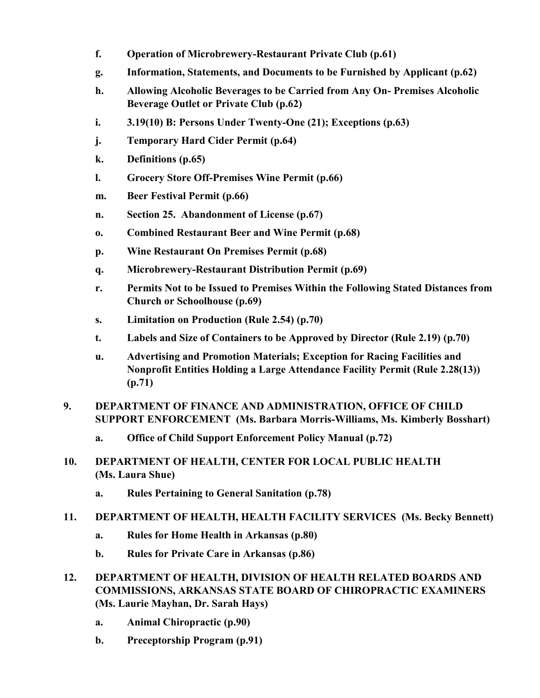- **f. Operation of Microbrewery-Restaurant Private Club (p.61)**
- **g. Information, Statements, and Documents to be Furnished by Applicant (p.62)**
- **h. Allowing Alcoholic Beverages to be Carried from Any On- Premises Alcoholic Beverage Outlet or Private Club (p.62)**
- **i. 3.19(10) B: Persons Under Twenty-One (21); Exceptions (p.63)**
- **j. Temporary Hard Cider Permit (p.64)**
- **k. Definitions (p.65)**
- **l. Grocery Store Off-Premises Wine Permit (p.66)**
- **m. Beer Festival Permit (p.66)**
- **n. Section 25. Abandonment of License (p.67)**
- **o. Combined Restaurant Beer and Wine Permit (p.68)**
- **p. Wine Restaurant On Premises Permit (p.68)**
- **q. Microbrewery-Restaurant Distribution Permit (p.69)**
- **r. Permits Not to be Issued to Premises Within the Following Stated Distances from Church or Schoolhouse (p.69)**
- **s. Limitation on Production (Rule 2.54) (p.70)**
- **t. Labels and Size of Containers to be Approved by Director (Rule 2.19) (p.70)**
- **u. Advertising and Promotion Materials; Exception for Racing Facilities and Nonprofit Entities Holding a Large Attendance Facility Permit (Rule 2.28(13)) (p.71)**
- **9. DEPARTMENT OF FINANCE AND ADMINISTRATION, OFFICE OF CHILD SUPPORT ENFORCEMENT (Ms. Barbara Morris-Williams, Ms. Kimberly Bosshart)**
	- **a. Office of Child Support Enforcement Policy Manual (p.72)**
- **10. DEPARTMENT OF HEALTH, CENTER FOR LOCAL PUBLIC HEALTH (Ms. Laura Shue)**
	- **a. Rules Pertaining to General Sanitation (p.78)**
- **11. DEPARTMENT OF HEALTH, HEALTH FACILITY SERVICES (Ms. Becky Bennett)**
	- **a. Rules for Home Health in Arkansas (p.80)**
	- **b. Rules for Private Care in Arkansas (p.86)**
- **12. DEPARTMENT OF HEALTH, DIVISION OF HEALTH RELATED BOARDS AND COMMISSIONS, ARKANSAS STATE BOARD OF CHIROPRACTIC EXAMINERS (Ms. Laurie Mayhan, Dr. Sarah Hays)**
	- **a. Animal Chiropractic (p.90)**
	- **b. Preceptorship Program (p.91)**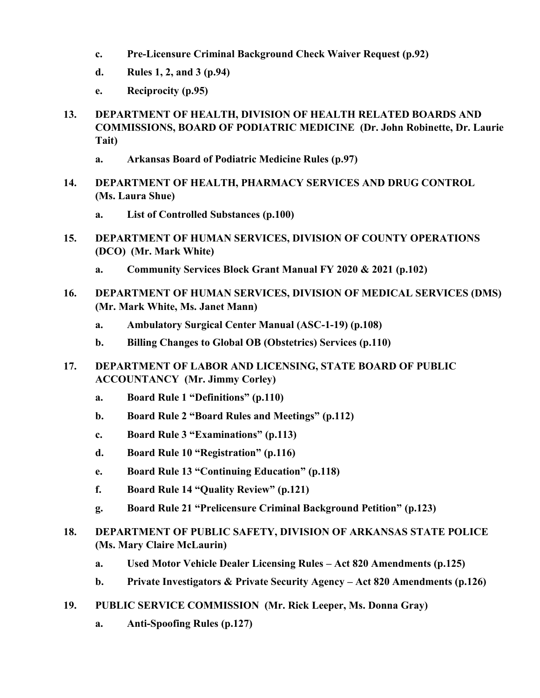- **c. Pre-Licensure Criminal Background Check Waiver Request (p.92)**
- **d. Rules 1, 2, and 3 (p.94)**
- **e. Reciprocity (p.95)**
- **13. DEPARTMENT OF HEALTH, DIVISION OF HEALTH RELATED BOARDS AND COMMISSIONS, BOARD OF PODIATRIC MEDICINE (Dr. John Robinette, Dr. Laurie Tait)**
	- **a. Arkansas Board of Podiatric Medicine Rules (p.97)**
- **14. DEPARTMENT OF HEALTH, PHARMACY SERVICES AND DRUG CONTROL (Ms. Laura Shue)**
	- **a. List of Controlled Substances (p.100)**
- **15. DEPARTMENT OF HUMAN SERVICES, DIVISION OF COUNTY OPERATIONS (DCO) (Mr. Mark White)**
	- **a. Community Services Block Grant Manual FY 2020 & 2021 (p.102)**
- **16. DEPARTMENT OF HUMAN SERVICES, DIVISION OF MEDICAL SERVICES (DMS) (Mr. Mark White, Ms. Janet Mann)**
	- **a. Ambulatory Surgical Center Manual (ASC-1-19) (p.108)**
	- **b. Billing Changes to Global OB (Obstetrics) Services (p.110)**
- **17. DEPARTMENT OF LABOR AND LICENSING, STATE BOARD OF PUBLIC ACCOUNTANCY (Mr. Jimmy Corley)**
	- **a. Board Rule 1 "Definitions" (p.110)**
	- **b. Board Rule 2 "Board Rules and Meetings" (p.112)**
	- **c. Board Rule 3 "Examinations" (p.113)**
	- **d. Board Rule 10 "Registration" (p.116)**
	- **e. Board Rule 13 "Continuing Education" (p.118)**
	- **f. Board Rule 14 "Quality Review" (p.121)**
	- **g. Board Rule 21 "Prelicensure Criminal Background Petition" (p.123)**
- **18. DEPARTMENT OF PUBLIC SAFETY, DIVISION OF ARKANSAS STATE POLICE (Ms. Mary Claire McLaurin)**
	- **a. Used Motor Vehicle Dealer Licensing Rules – Act 820 Amendments (p.125)**
	- **b. Private Investigators & Private Security Agency – Act 820 Amendments (p.126)**
- **19. PUBLIC SERVICE COMMISSION (Mr. Rick Leeper, Ms. Donna Gray)**
	- **a. Anti-Spoofing Rules (p.127)**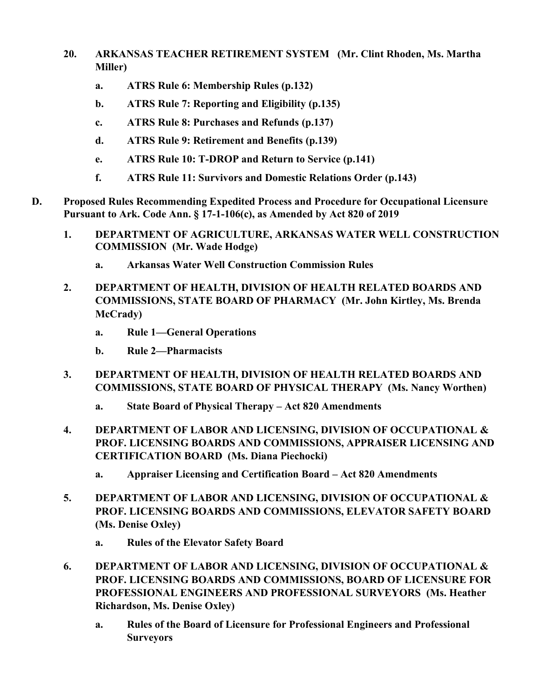- **20. ARKANSAS TEACHER RETIREMENT SYSTEM (Mr. Clint Rhoden, Ms. Martha Miller)**
	- **a. ATRS Rule 6: Membership Rules (p.132)**
	- **b. ATRS Rule 7: Reporting and Eligibility (p.135)**
	- **c. ATRS Rule 8: Purchases and Refunds (p.137)**
	- **d. ATRS Rule 9: Retirement and Benefits (p.139)**
	- **e. ATRS Rule 10: T-DROP and Return to Service (p.141)**
	- **f. ATRS Rule 11: Survivors and Domestic Relations Order (p.143)**
- **D. Proposed Rules Recommending Expedited Process and Procedure for Occupational Licensure Pursuant to Ark. Code Ann. § 17-1-106(c), as Amended by Act 820 of 2019**
	- **1. DEPARTMENT OF AGRICULTURE, ARKANSAS WATER WELL CONSTRUCTION COMMISSION (Mr. Wade Hodge)**
		- **a. Arkansas Water Well Construction Commission Rules**
	- **2. DEPARTMENT OF HEALTH, DIVISION OF HEALTH RELATED BOARDS AND COMMISSIONS, STATE BOARD OF PHARMACY (Mr. John Kirtley, Ms. Brenda McCrady)**
		- **a. Rule 1—General Operations**
		- **b. Rule 2—Pharmacists**
	- **3. DEPARTMENT OF HEALTH, DIVISION OF HEALTH RELATED BOARDS AND COMMISSIONS, STATE BOARD OF PHYSICAL THERAPY (Ms. Nancy Worthen)**
		- **a. State Board of Physical Therapy – Act 820 Amendments**
	- **4. DEPARTMENT OF LABOR AND LICENSING, DIVISION OF OCCUPATIONAL & PROF. LICENSING BOARDS AND COMMISSIONS, APPRAISER LICENSING AND CERTIFICATION BOARD (Ms. Diana Piechocki)**
		- **a. Appraiser Licensing and Certification Board – Act 820 Amendments**
	- **5. DEPARTMENT OF LABOR AND LICENSING, DIVISION OF OCCUPATIONAL & PROF. LICENSING BOARDS AND COMMISSIONS, ELEVATOR SAFETY BOARD (Ms. Denise Oxley)**
		- **a. Rules of the Elevator Safety Board**
	- **6. DEPARTMENT OF LABOR AND LICENSING, DIVISION OF OCCUPATIONAL & PROF. LICENSING BOARDS AND COMMISSIONS, BOARD OF LICENSURE FOR PROFESSIONAL ENGINEERS AND PROFESSIONAL SURVEYORS (Ms. Heather Richardson, Ms. Denise Oxley)**
		- **a. Rules of the Board of Licensure for Professional Engineers and Professional Surveyors**